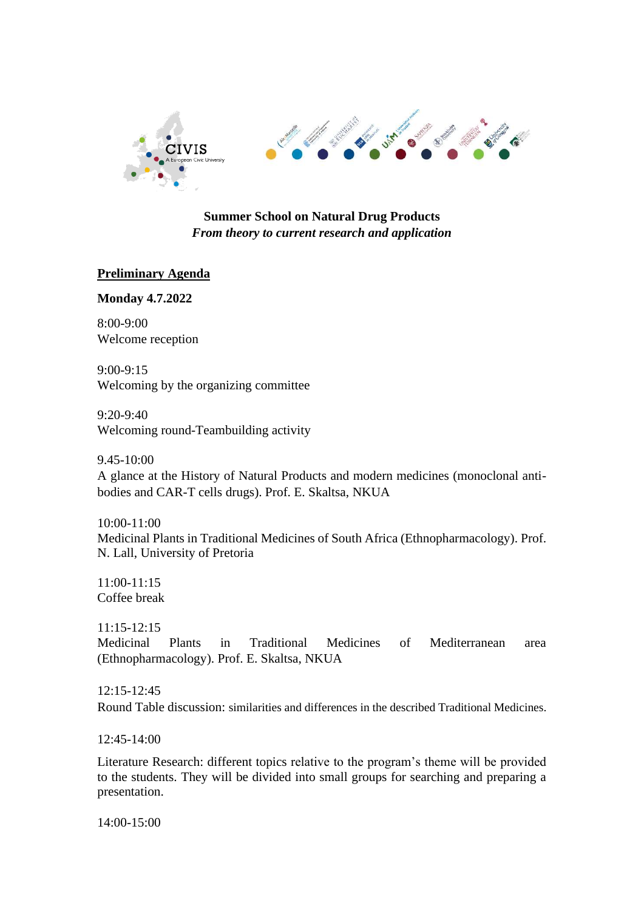

## **Summer School on Natural Drug Products** *From theory to current research and application*

# **Preliminary Agenda**

### **Monday 4.7.2022**

8:00-9:00 Welcome reception

9:00-9:15 Welcoming by the organizing committee

9:20-9:40 Welcoming round-Teambuilding activity

9.45-10:00

A glance at the History of Natural Products and modern medicines (monoclonal antibodies and CAR-T cells drugs). Prof. E. Skaltsa, NKUA

10:00-11:00 Medicinal Plants in Traditional Medicines of South Africa (Ethnopharmacology). Prof. N. Lall, University of Pretoria

11:00-11:15 Coffee break

11:15-12:15 Medicinal Plants in Traditional Medicines of Mediterranean area (Ethnopharmacology). Prof. E. Skaltsa, NKUA

12:15-12:45 Round Table discussion: similarities and differences in the described Traditional Medicines.

12:45-14:00

Literature Research: different topics relative to the program's theme will be provided to the students. They will be divided into small groups for searching and preparing a presentation.

14:00-15:00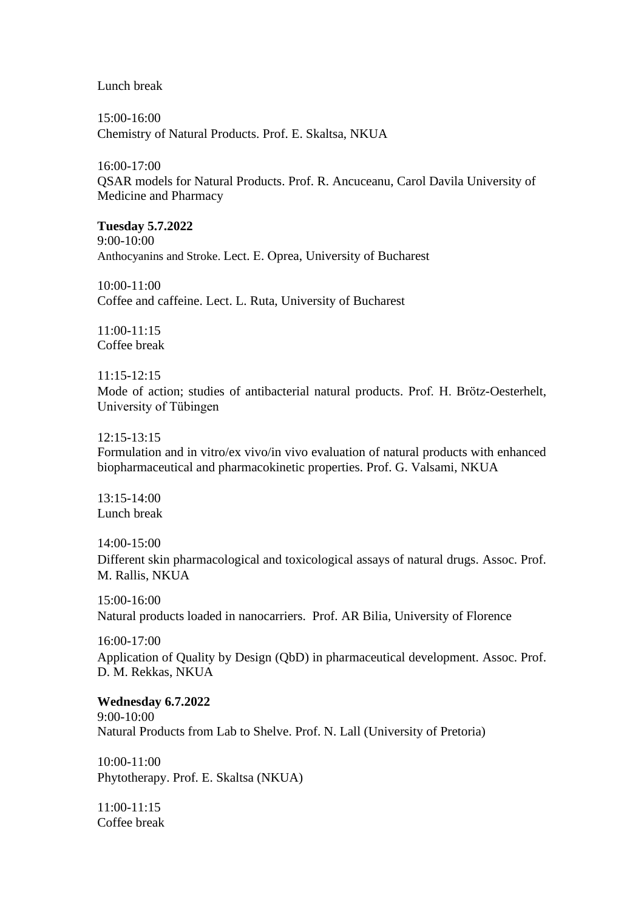Lunch break

15:00-16:00 Chemistry of Natural Products. Prof. E. Skaltsa, NKUA

16:00-17:00 QSAR models for Natural Products. Prof. R. Ancuceanu, Carol Davila University of Medicine and Pharmacy

**Tuesday 5.7.2022**  9:00-10:00 Anthocyanins and Stroke. Lect. Ε. Οprea, University of Bucharest

10:00-11:00 Coffee and caffeine. Lect. L. Ruta, University of Bucharest

11:00-11:15 Coffee break

11:15-12:15 Mode of action; studies of antibacterial natural products. Prof. H. Brötz-Oesterhelt, University of Tübingen

12:15-13:15

Formulation and in vitro/ex vivo/in vivo evaluation of natural products with enhanced biopharmaceutical and pharmacokinetic properties. Prof. G. Valsami, NKUA

13:15-14:00 Lunch break

14:00-15:00

Different skin pharmacological and toxicological assays of natural drugs. Assoc. Prof. M. Rallis, NKUA

15:00-16:00 Natural products loaded in nanocarriers. Prof. AR Bilia, University of Florence

16:00-17:00 Application of Quality by Design (QbD) in pharmaceutical development. Assoc. Prof. D. M. Rekkas, NKUA

#### **Wednesday 6.7.2022**

9:00-10:00 Natural Products from Lab to Shelve. Prof. N. Lall (University of Pretoria)

10:00-11:00 Phytotherapy. Prof. E. Skaltsa (NKUA)

11:00-11:15 Coffee break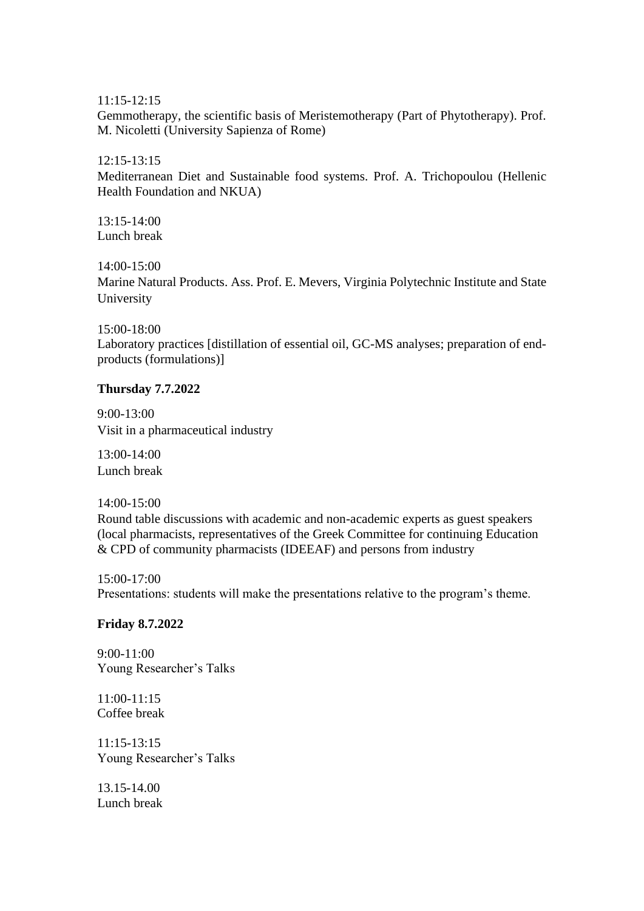11:15-12:15

Gemmotherapy, the scientific basis of Meristemotherapy (Part of Phytotherapy). Prof. M. Nicoletti (University Sapienza of Rome)

#### 12:15-13:15

Mediterranean Diet and Sustainable food systems. Prof. A. Trichopoulou (Hellenic Health Foundation and NKUA)

 $13:15-14:00$ Lunch break

14:00-15:00

Marine Natural Products. Ass. Prof. E. Mevers, Virginia Polytechnic Institute and State University

### 15:00-18:00

Laboratory practices [distillation of essential oil, GC-MS analyses; preparation of endproducts (formulations)]

### **Thursday 7.7.2022**

9:00-13:00 Visit in a pharmaceutical industry

13:00-14:00 Lunch break

14:00-15:00

Round table discussions with academic and non-academic experts as guest speakers (local pharmacists, representatives of the Greek Committee for continuing Education & CPD of community pharmacists (IDEEAF) and persons from industry

15:00-17:00 Presentations: students will make the presentations relative to the program's theme.

### **Friday 8.7.2022**

9:00-11:00 Young Researcher's Talks

11:00-11:15 Coffee break

11:15-13:15 Young Researcher's Talks

13.15-14.00 Lunch break